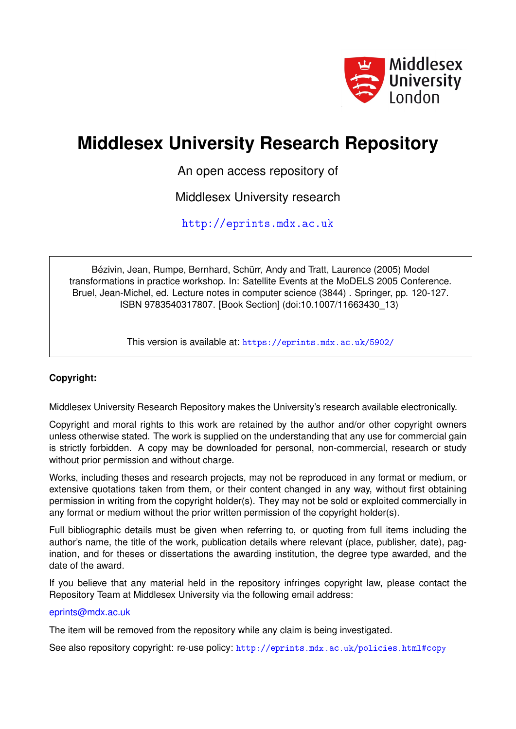

# **Middlesex University Research Repository**

An open access repository of

Middlesex University research

<http://eprints.mdx.ac.uk>

Bézivin, Jean, Rumpe, Bernhard, Schürr, Andy and Tratt, Laurence (2005) Model transformations in practice workshop. In: Satellite Events at the MoDELS 2005 Conference. Bruel, Jean-Michel, ed. Lecture notes in computer science (3844) . Springer, pp. 120-127. ISBN 9783540317807. [Book Section] (doi:10.1007/11663430\_13)

This version is available at: <https://eprints.mdx.ac.uk/5902/>

# **Copyright:**

Middlesex University Research Repository makes the University's research available electronically.

Copyright and moral rights to this work are retained by the author and/or other copyright owners unless otherwise stated. The work is supplied on the understanding that any use for commercial gain is strictly forbidden. A copy may be downloaded for personal, non-commercial, research or study without prior permission and without charge.

Works, including theses and research projects, may not be reproduced in any format or medium, or extensive quotations taken from them, or their content changed in any way, without first obtaining permission in writing from the copyright holder(s). They may not be sold or exploited commercially in any format or medium without the prior written permission of the copyright holder(s).

Full bibliographic details must be given when referring to, or quoting from full items including the author's name, the title of the work, publication details where relevant (place, publisher, date), pagination, and for theses or dissertations the awarding institution, the degree type awarded, and the date of the award.

If you believe that any material held in the repository infringes copyright law, please contact the Repository Team at Middlesex University via the following email address:

# [eprints@mdx.ac.uk](mailto:eprints@mdx.ac.uk)

The item will be removed from the repository while any claim is being investigated.

See also repository copyright: re-use policy: <http://eprints.mdx.ac.uk/policies.html#copy>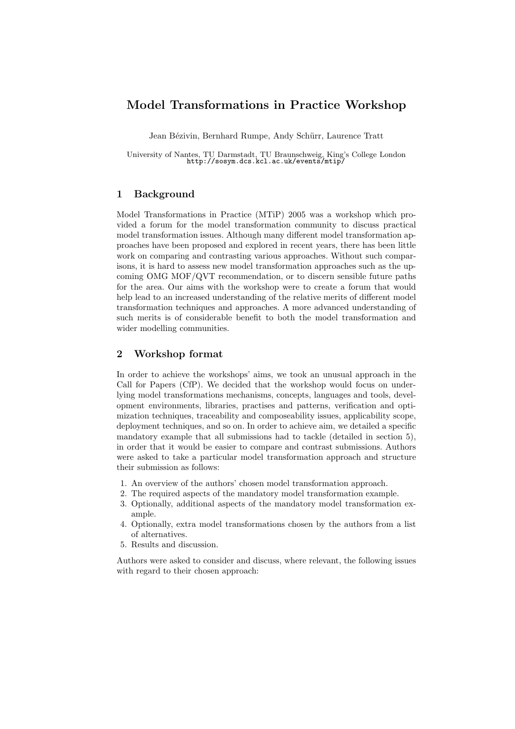# Model Transformations in Practice Workshop

Jean Bézivin, Bernhard Rumpe, Andy Schürr, Laurence Tratt

University of Nantes, TU Darmstadt, TU Braunschweig, King's College London http://sosym.dcs.kcl.ac.uk/events/mtip/

#### 1 Background

Model Transformations in Practice (MTiP) 2005 was a workshop which provided a forum for the model transformation community to discuss practical model transformation issues. Although many different model transformation approaches have been proposed and explored in recent years, there has been little work on comparing and contrasting various approaches. Without such comparisons, it is hard to assess new model transformation approaches such as the upcoming OMG MOF/QVT recommendation, or to discern sensible future paths for the area. Our aims with the workshop were to create a forum that would help lead to an increased understanding of the relative merits of different model transformation techniques and approaches. A more advanced understanding of such merits is of considerable benefit to both the model transformation and wider modelling communities.

# 2 Workshop format

In order to achieve the workshops' aims, we took an unusual approach in the Call for Papers (CfP). We decided that the workshop would focus on underlying model transformations mechanisms, concepts, languages and tools, development environments, libraries, practises and patterns, verification and optimization techniques, traceability and composeability issues, applicability scope, deployment techniques, and so on. In order to achieve aim, we detailed a specific mandatory example that all submissions had to tackle (detailed in section 5), in order that it would be easier to compare and contrast submissions. Authors were asked to take a particular model transformation approach and structure their submission as follows:

- 1. An overview of the authors' chosen model transformation approach.
- 2. The required aspects of the mandatory model transformation example.
- 3. Optionally, additional aspects of the mandatory model transformation example.
- 4. Optionally, extra model transformations chosen by the authors from a list of alternatives.
- 5. Results and discussion.

Authors were asked to consider and discuss, where relevant, the following issues with regard to their chosen approach: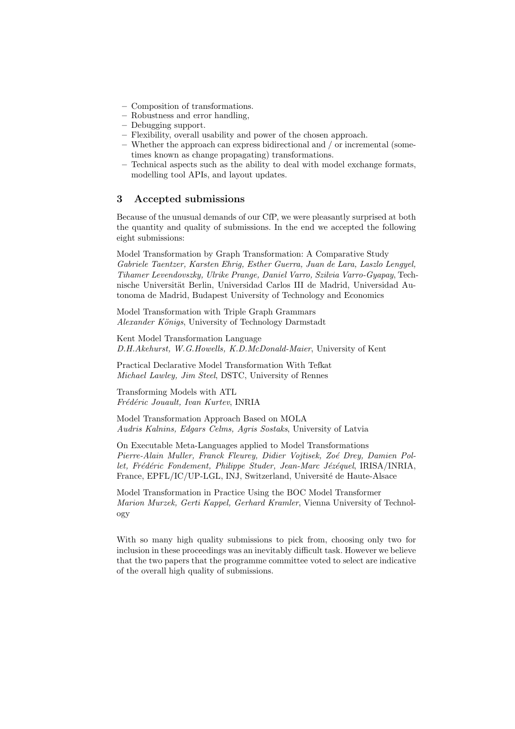- Composition of transformations.
- Robustness and error handling,
- Debugging support.
- Flexibility, overall usability and power of the chosen approach.
- Whether the approach can express bidirectional and / or incremental (sometimes known as change propagating) transformations.
- Technical aspects such as the ability to deal with model exchange formats, modelling tool APIs, and layout updates.

# 3 Accepted submissions

Because of the unusual demands of our CfP, we were pleasantly surprised at both the quantity and quality of submissions. In the end we accepted the following eight submissions:

Model Transformation by Graph Transformation: A Comparative Study Gabriele Taentzer, Karsten Ehrig, Esther Guerra, Juan de Lara, Laszlo Lengyel, Tihamer Levendovszky, Ulrike Prange, Daniel Varro, Szilvia Varro-Gyapay, Technische Universität Berlin, Universidad Carlos III de Madrid, Universidad Autonoma de Madrid, Budapest University of Technology and Economics

Model Transformation with Triple Graph Grammars Alexander Königs, University of Technology Darmstadt

Kent Model Transformation Language D.H.Akehurst, W.G.Howells, K.D.McDonald-Maier, University of Kent

Practical Declarative Model Transformation With Tefkat Michael Lawley, Jim Steel, DSTC, University of Rennes

Transforming Models with ATL Frédéric Jouault, Ivan Kurtev, INRIA

Model Transformation Approach Based on MOLA Audris Kalnins, Edgars Celms, Agris Sostaks, University of Latvia

On Executable Meta-Languages applied to Model Transformations Pierre-Alain Muller, Franck Fleurey, Didier Vojtisek, Zoé Drey, Damien Pollet, Frédéric Fondement, Philippe Studer, Jean-Marc Jézéquel, IRISA/INRIA, France, EPFL/IC/UP-LGL, INJ, Switzerland, Université de Haute-Alsace

Model Transformation in Practice Using the BOC Model Transformer Marion Murzek, Gerti Kappel, Gerhard Kramler, Vienna University of Technology

With so many high quality submissions to pick from, choosing only two for inclusion in these proceedings was an inevitably difficult task. However we believe that the two papers that the programme committee voted to select are indicative of the overall high quality of submissions.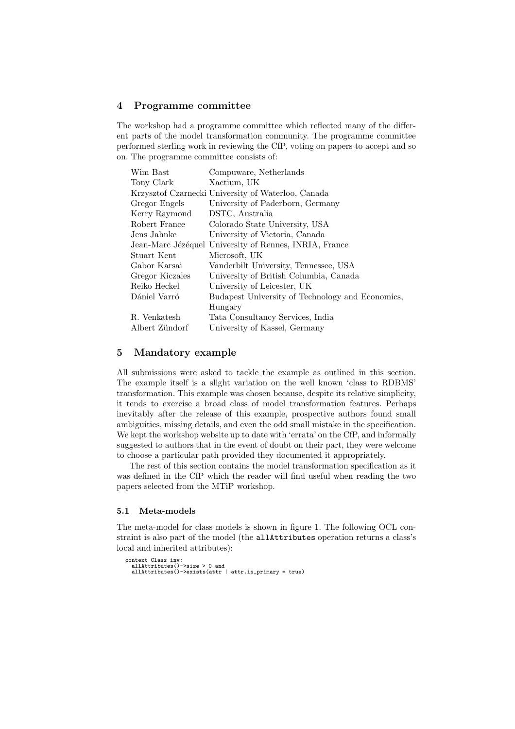## 4 Programme committee

The workshop had a programme committee which reflected many of the different parts of the model transformation community. The programme committee performed sterling work in reviewing the CfP, voting on papers to accept and so on. The programme committee consists of:

| Wim Bast        | Compuware, Netherlands                                 |
|-----------------|--------------------------------------------------------|
| Tony Clark      | Xactium, UK                                            |
|                 | Krzysztof Czarnecki University of Waterloo, Canada     |
| Gregor Engels   | University of Paderborn, Germany                       |
| Kerry Raymond   | DSTC, Australia                                        |
| Robert France   | Colorado State University, USA                         |
| Jens Jahnke     | University of Victoria, Canada                         |
|                 | Jean-Marc Jézéquel University of Rennes, INRIA, France |
| Stuart Kent     | Microsoft, UK                                          |
| Gabor Karsai    | Vanderbilt University, Tennessee, USA                  |
| Gregor Kiczales | University of British Columbia, Canada                 |
| Reiko Heckel    | University of Leicester, UK                            |
| Dániel Varró    | Budapest University of Technology and Economics,       |
|                 | Hungary                                                |
| R. Venkatesh    | Tata Consultancy Services, India                       |
| Albert Zündorf  | University of Kassel, Germany                          |

## 5 Mandatory example

All submissions were asked to tackle the example as outlined in this section. The example itself is a slight variation on the well known 'class to RDBMS' transformation. This example was chosen because, despite its relative simplicity, it tends to exercise a broad class of model transformation features. Perhaps inevitably after the release of this example, prospective authors found small ambiguities, missing details, and even the odd small mistake in the specification. We kept the workshop website up to date with 'errata' on the CfP, and informally suggested to authors that in the event of doubt on their part, they were welcome to choose a particular path provided they documented it appropriately.

The rest of this section contains the model transformation specification as it was defined in the CfP which the reader will find useful when reading the two papers selected from the MTiP workshop.

#### 5.1 Meta-models

The meta-model for class models is shown in figure 1. The following OCL constraint is also part of the model (the allAttributes operation returns a class's local and inherited attributes):

```
context Class inv:
   allAttributes()->size > 0 and
allAttributes()->exists(attr | attr.is_primary = true)
```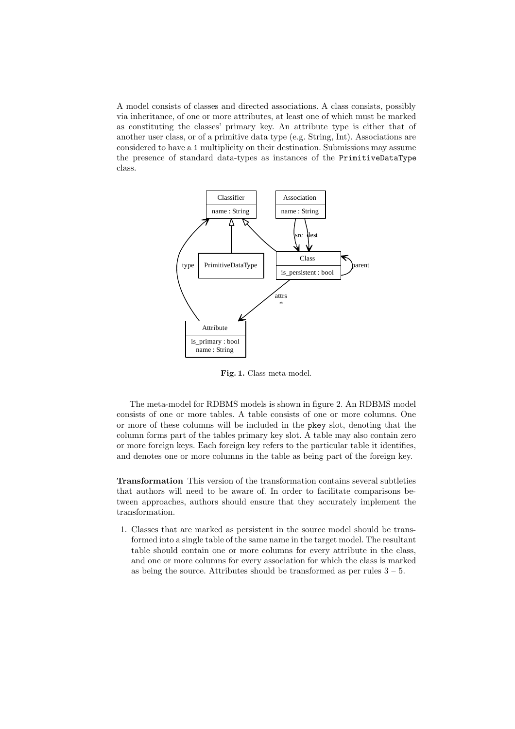A model consists of classes and directed associations. A class consists, possibly via inheritance, of one or more attributes, at least one of which must be marked as constituting the classes' primary key. An attribute type is either that of another user class, or of a primitive data type (e.g. String, Int). Associations are considered to have a 1 multiplicity on their destination. Submissions may assume the presence of standard data-types as instances of the PrimitiveDataType class.



Fig. 1. Class meta-model.

The meta-model for RDBMS models is shown in figure 2. An RDBMS model consists of one or more tables. A table consists of one or more columns. One or more of these columns will be included in the pkey slot, denoting that the column forms part of the tables primary key slot. A table may also contain zero or more foreign keys. Each foreign key refers to the particular table it identifies, and denotes one or more columns in the table as being part of the foreign key.

Transformation This version of the transformation contains several subtleties that authors will need to be aware of. In order to facilitate comparisons between approaches, authors should ensure that they accurately implement the transformation.

1. Classes that are marked as persistent in the source model should be transformed into a single table of the same name in the target model. The resultant table should contain one or more columns for every attribute in the class, and one or more columns for every association for which the class is marked as being the source. Attributes should be transformed as per rules  $3 - 5$ .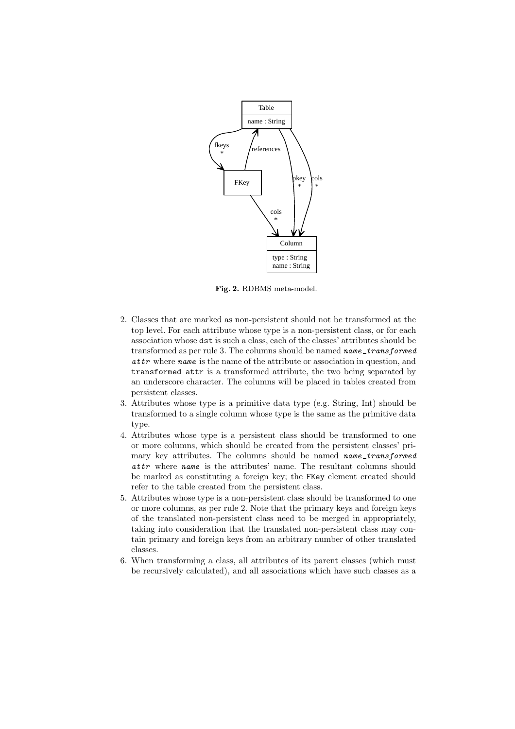

Fig. 2. RDBMS meta-model.

- 2. Classes that are marked as non-persistent should not be transformed at the top level. For each attribute whose type is a non-persistent class, or for each association whose dst is such a class, each of the classes' attributes should be transformed as per rule 3. The columns should be named name\_transformed attr where name is the name of the attribute or association in question, and transformed attr is a transformed attribute, the two being separated by an underscore character. The columns will be placed in tables created from persistent classes.
- 3. Attributes whose type is a primitive data type (e.g. String, Int) should be transformed to a single column whose type is the same as the primitive data type.
- 4. Attributes whose type is a persistent class should be transformed to one or more columns, which should be created from the persistent classes' primary key attributes. The columns should be named name\_transformed attr where name is the attributes' name. The resultant columns should be marked as constituting a foreign key; the FKey element created should refer to the table created from the persistent class.
- 5. Attributes whose type is a non-persistent class should be transformed to one or more columns, as per rule 2. Note that the primary keys and foreign keys of the translated non-persistent class need to be merged in appropriately, taking into consideration that the translated non-persistent class may contain primary and foreign keys from an arbitrary number of other translated classes.
- 6. When transforming a class, all attributes of its parent classes (which must be recursively calculated), and all associations which have such classes as a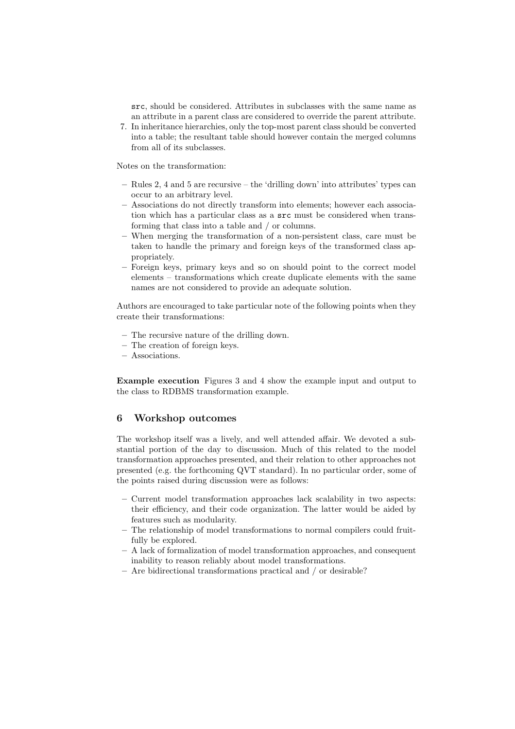src, should be considered. Attributes in subclasses with the same name as an attribute in a parent class are considered to override the parent attribute.

7. In inheritance hierarchies, only the top-most parent class should be converted into a table; the resultant table should however contain the merged columns from all of its subclasses.

Notes on the transformation:

- Rules 2, 4 and 5 are recursive the 'drilling down' into attributes' types can occur to an arbitrary level.
- Associations do not directly transform into elements; however each association which has a particular class as a src must be considered when transforming that class into a table and / or columns.
- When merging the transformation of a non-persistent class, care must be taken to handle the primary and foreign keys of the transformed class appropriately.
- Foreign keys, primary keys and so on should point to the correct model elements – transformations which create duplicate elements with the same names are not considered to provide an adequate solution.

Authors are encouraged to take particular note of the following points when they create their transformations:

- The recursive nature of the drilling down.
- The creation of foreign keys.
- Associations.

Example execution Figures 3 and 4 show the example input and output to the class to RDBMS transformation example.

## 6 Workshop outcomes

The workshop itself was a lively, and well attended affair. We devoted a substantial portion of the day to discussion. Much of this related to the model transformation approaches presented, and their relation to other approaches not presented (e.g. the forthcoming QVT standard). In no particular order, some of the points raised during discussion were as follows:

- Current model transformation approaches lack scalability in two aspects: their efficiency, and their code organization. The latter would be aided by features such as modularity.
- The relationship of model transformations to normal compilers could fruitfully be explored.
- A lack of formalization of model transformation approaches, and consequent inability to reason reliably about model transformations.
- Are bidirectional transformations practical and / or desirable?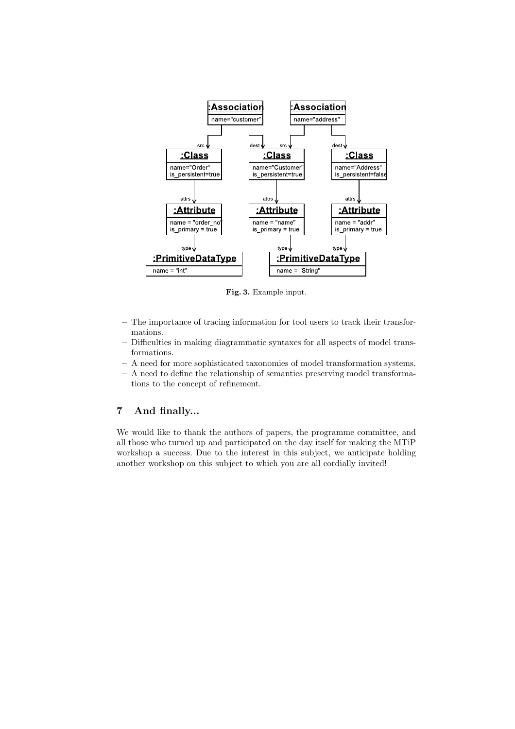

Fig. 3. Example input.

- The importance of tracing information for tool users to track their transformations.
- Difficulties in making diagrammatic syntaxes for all aspects of model transformations.
- A need for more sophisticated taxonomies of model transformation systems.
- A need to define the relationship of semantics preserving model transformations to the concept of refinement.

## 7 And finally...

We would like to thank the authors of papers, the programme committee, and all those who turned up and participated on the day itself for making the MTiP workshop a success. Due to the interest in this subject, we anticipate holding another workshop on this subject to which you are all cordially invited!